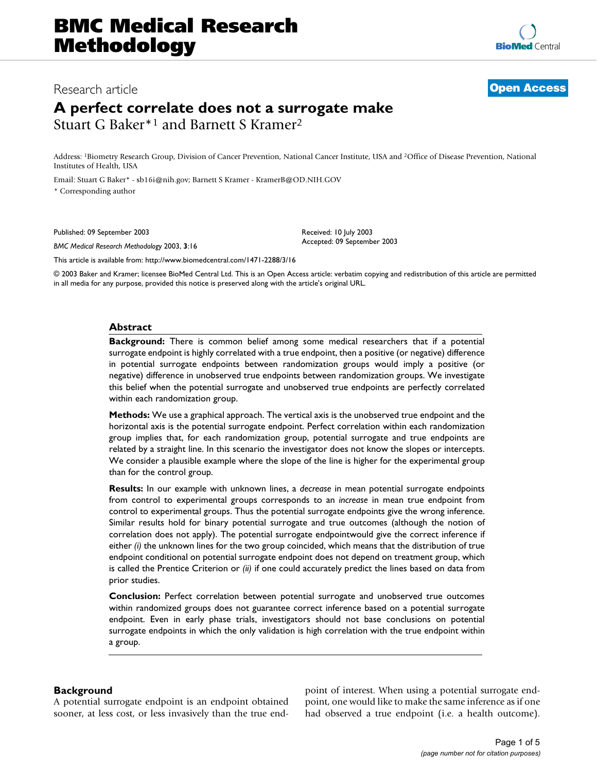## Research article **[Open Access](http://www.biomedcentral.com/info/about/charter/)**

# **A perfect correlate does not a surrogate make** Stuart G Baker\*1 and Barnett S Kramer2

Address: 1Biometry Research Group, Division of Cancer Prevention, National Cancer Institute, USA and 2Office of Disease Prevention, National Institutes of Health, USA

Email: Stuart G Baker\* - sb16i@nih.gov; Barnett S Kramer - KramerB@OD.NIH.GOV \* Corresponding author

Published: 09 September 2003

*BMC Medical Research Methodology* 2003, **3**:16

[This article is available from: http://www.biomedcentral.com/1471-2288/3/16](http://www.biomedcentral.com/1471-2288/3/16)

© 2003 Baker and Kramer; licensee BioMed Central Ltd. This is an Open Access article: verbatim copying and redistribution of this article are permitted in all media for any purpose, provided this notice is preserved along with the article's original URL.

#### **Abstract**

**Background:** There is common belief among some medical researchers that if a potential surrogate endpoint is highly correlated with a true endpoint, then a positive (or negative) difference in potential surrogate endpoints between randomization groups would imply a positive (or negative) difference in unobserved true endpoints between randomization groups. We investigate this belief when the potential surrogate and unobserved true endpoints are perfectly correlated within each randomization group.

**Methods:** We use a graphical approach. The vertical axis is the unobserved true endpoint and the horizontal axis is the potential surrogate endpoint. Perfect correlation within each randomization group implies that, for each randomization group, potential surrogate and true endpoints are related by a straight line. In this scenario the investigator does not know the slopes or intercepts. We consider a plausible example where the slope of the line is higher for the experimental group than for the control group.

**Results:** In our example with unknown lines, a *decrease* in mean potential surrogate endpoints from control to experimental groups corresponds to an *increase* in mean true endpoint from control to experimental groups. Thus the potential surrogate endpoints give the wrong inference. Similar results hold for binary potential surrogate and true outcomes (although the notion of correlation does not apply). The potential surrogate endpointwould give the correct inference if either *(i)* the unknown lines for the two group coincided, which means that the distribution of true endpoint conditional on potential surrogate endpoint does not depend on treatment group, which is called the Prentice Criterion or *(ii)* if one could accurately predict the lines based on data from prior studies.

**Conclusion:** Perfect correlation between potential surrogate and unobserved true outcomes within randomized groups does not guarantee correct inference based on a potential surrogate endpoint. Even in early phase trials, investigators should not base conclusions on potential surrogate endpoints in which the only validation is high correlation with the true endpoint within a group.

#### **Background**

A potential surrogate endpoint is an endpoint obtained sooner, at less cost, or less invasively than the true endpoint of interest. When using a potential surrogate endpoint, one would like to make the same inference as if one had observed a true endpoint (i.e. a health outcome).

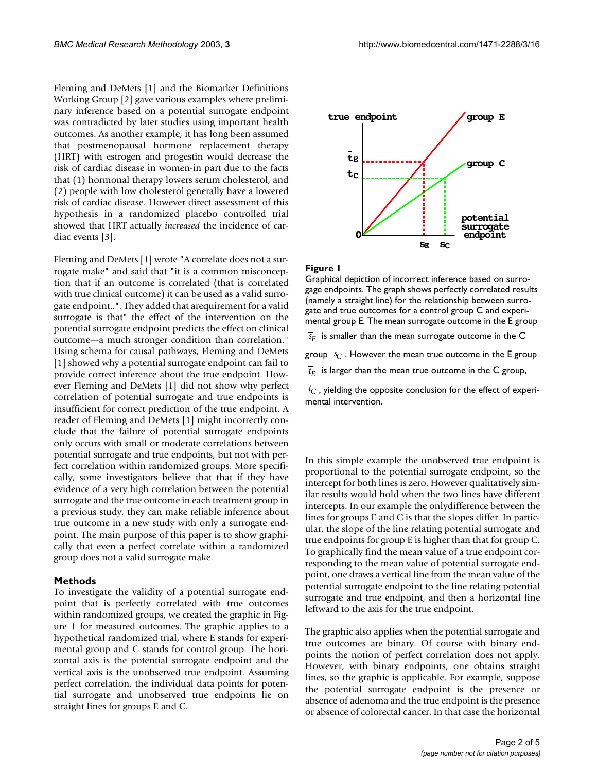Fleming and DeMets [1] and the Biomarker Definitions Working Group [2] gave various examples where preliminary inference based on a potential surrogate endpoint was contradicted by later studies using important health outcomes. As another example, it has long been assumed that postmenopausal hormone replacement therapy (HRT) with estrogen and progestin would decrease the risk of cardiac disease in women-in part due to the facts that (1) hormonal therapy lowers serum cholesterol, and (2) people with low cholesterol generally have a lowered risk of cardiac disease. However direct assessment of this hypothesis in a randomized placebo controlled trial showed that HRT actually *increased* the incidence of cardiac events [3].

Fleming and DeMets [1] wrote "A correlate does not a surrogate make" and said that "it is a common misconception that if an outcome is correlated (that is correlated with true clinical outcome) it can be used as a valid surrogate endpoint..". They added that arequirement for a valid surrogate is that" the effect of the intervention on the potential surrogate endpoint predicts the effect on clinical outcome---a much stronger condition than correlation." Using schema for causal pathways, Fleming and DeMets [1] showed why a potential surrogate endpoint can fail to provide correct inference about the true endpoint. However Fleming and DeMets [1] did not show why perfect correlation of potential surrogate and true endpoints is insufficient for correct prediction of the true endpoint. A reader of Fleming and DeMets [1] might incorrectly conclude that the failure of potential surrogate endpoints only occurs with small or moderate correlations between potential surrogate and true endpoints, but not with perfect correlation within randomized groups. More specifically, some investigators believe that that if they have evidence of a very high correlation between the potential surrogate and the true outcome in each treatment group in a previous study, they can make reliable inference about true outcome in a new study with only a surrogate endpoint. The main purpose of this paper is to show graphically that even a perfect correlate within a randomized group does not a valid surrogate make.

#### **Methods**

To investigate the validity of a potential surrogate endpoint that is perfectly correlated with true outcomes within randomized groups, we created the graphic in Figure 1 for measured outcomes. The graphic applies to a hypothetical randomized trial, where E stands for experimental group and C stands for control group. The horizontal axis is the potential surrogate endpoint and the vertical axis is the unobserved true endpoint. Assuming perfect correlation, the individual data points for potential surrogate and unobserved true endpoints lie on straight lines for groups E and C.



#### Figure I

Graphical depiction of incorrect inference based on surrogage endpoints. The graph shows perfectly correlated results (namely a straight line) for the relationship between surrogate and true outcomes for a control group C and experimental group E. The mean surrogate outcome in the E group

 $\overline{s}_{\mathrm{E}}$  is smaller than the mean surrogate outcome in the C

group  $\bar{s}_{\mathrm{C}}$  . However the mean true outcome in the E group

 $\overline{t}_E$  is larger than the mean true outcome in the C group,

 $\overline{t}_C$  , yielding the opposite conclusion for the effect of experimental intervention.

In this simple example the unobserved true endpoint is proportional to the potential surrogate endpoint, so the intercept for both lines is zero. However qualitatively similar results would hold when the two lines have different intercepts. In our example the onlydifference between the lines for groups E and C is that the slopes differ. In particular, the slope of the line relating potential surrogate and true endpoints for group E is higher than that for group C. To graphically find the mean value of a true endpoint corresponding to the mean value of potential surrogate endpoint, one draws a vertical line from the mean value of the potential surrogate endpoint to the line relating potential surrogate and true endpoint, and then a horizontal line leftward to the axis for the true endpoint.

The graphic also applies when the potential surrogate and true outcomes are binary. Of course with binary endpoints the notion of perfect correlation does not apply. However, with binary endpoints, one obtains straight lines, so the graphic is applicable. For example, suppose the potential surrogate endpoint is the presence or absence of adenoma and the true endpoint is the presence or absence of colorectal cancer. In that case the horizontal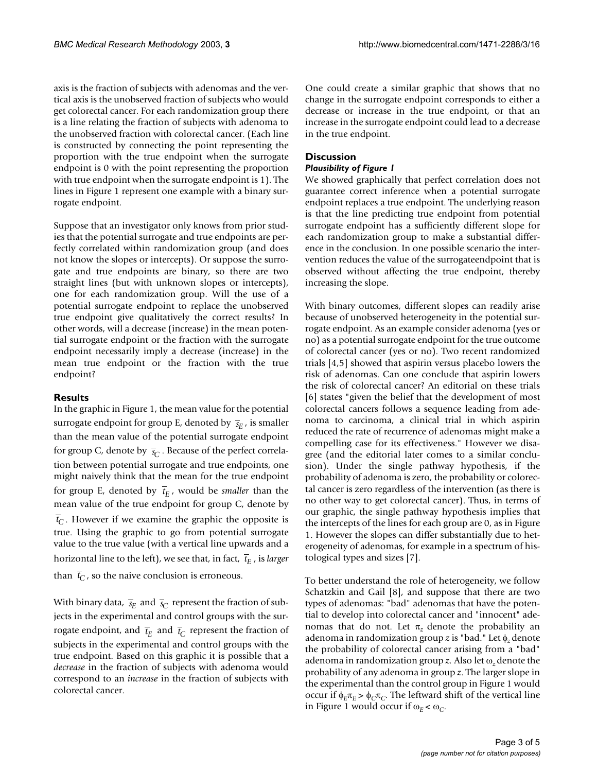axis is the fraction of subjects with adenomas and the vertical axis is the unobserved fraction of subjects who would get colorectal cancer. For each randomization group there is a line relating the fraction of subjects with adenoma to the unobserved fraction with colorectal cancer. (Each line is constructed by connecting the point representing the proportion with the true endpoint when the surrogate endpoint is 0 with the point representing the proportion with true endpoint when the surrogate endpoint is 1). The lines in Figure 1 represent one example with a binary surrogate endpoint.

Suppose that an investigator only knows from prior studies that the potential surrogate and true endpoints are perfectly correlated within randomization group (and does not know the slopes or intercepts). Or suppose the surrogate and true endpoints are binary, so there are two straight lines (but with unknown slopes or intercepts), one for each randomization group. Will the use of a potential surrogate endpoint to replace the unobserved true endpoint give qualitatively the correct results? In other words, will a decrease (increase) in the mean potential surrogate endpoint or the fraction with the surrogate endpoint necessarily imply a decrease (increase) in the mean true endpoint or the fraction with the true endpoint?

#### **Results**

In the graphic in Figure 1, the mean value for the potential surrogate endpoint for group E, denoted by  $\bar{s}_E$ , is smaller than the mean value of the potential surrogate endpoint for group C, denote by  $\bar{s}_C$  . Because of the perfect correlation between potential surrogate and true endpoints, one might naively think that the mean for the true endpoint for group E, denoted by  $\bar{t}_E$ , would be *smaller* than the mean value of the true endpoint for group C, denote by  $\overline{t}_{\rm C}$ . However if we examine the graphic the opposite is true. Using the graphic to go from potential surrogate value to the true value (with a vertical line upwards and a horizontal line to the left), we see that, in fact,  $\bar{t}_E$  , is *larger* than  $\bar{t}_C$ , so the naive conclusion is erroneous.

With binary data,  $\bar{s}_E$  and  $\bar{s}_C$  represent the fraction of subjects in the experimental and control groups with the surrogate endpoint, and  $\bar{t}_E$  and  $\bar{t}_C$  represent the fraction of subjects in the experimental and control groups with the true endpoint. Based on this graphic it is possible that a *decrease* in the fraction of subjects with adenoma would correspond to an *increase* in the fraction of subjects with colorectal cancer.

One could create a similar graphic that shows that no change in the surrogate endpoint corresponds to either a decrease or increase in the true endpoint, or that an increase in the surrogate endpoint could lead to a decrease in the true endpoint.

#### **Discussion**

#### *Plausibility of Figure 1*

We showed graphically that perfect correlation does not guarantee correct inference when a potential surrogate endpoint replaces a true endpoint. The underlying reason is that the line predicting true endpoint from potential surrogate endpoint has a sufficiently different slope for each randomization group to make a substantial difference in the conclusion. In one possible scenario the intervention reduces the value of the surrogateendpoint that is observed without affecting the true endpoint, thereby increasing the slope.

With binary outcomes, different slopes can readily arise because of unobserved heterogeneity in the potential surrogate endpoint. As an example consider adenoma (yes or no) as a potential surrogate endpoint for the true outcome of colorectal cancer (yes or no). Two recent randomized trials [4,5] showed that aspirin versus placebo lowers the risk of adenomas. Can one conclude that aspirin lowers the risk of colorectal cancer? An editorial on these trials [6] states "given the belief that the development of most colorectal cancers follows a sequence leading from adenoma to carcinoma, a clinical trial in which aspirin reduced the rate of recurrence of adenomas might make a compelling case for its effectiveness." However we disagree (and the editorial later comes to a similar conclusion). Under the single pathway hypothesis, if the probability of adenoma is zero, the probability or colorectal cancer is zero regardless of the intervention (as there is no other way to get colorectal cancer). Thus, in terms of our graphic, the single pathway hypothesis implies that the intercepts of the lines for each group are 0, as in Figure 1. However the slopes can differ substantially due to heterogeneity of adenomas, for example in a spectrum of histological types and sizes [7].

To better understand the role of heterogeneity, we follow Schatzkin and Gail [8], and suppose that there are two types of adenomas: "bad" adenomas that have the potential to develop into colorectal cancer and "innocent" adenomas that do not. Let  $\pi$ <sub>z</sub> denote the probability an adenoma in randomization group *z* is "bad." Let φ*z* denote the probability of colorectal cancer arising from a "bad" adenoma in randomization group *z.* Also let ω*z* denote the probability of any adenoma in group *z*. The larger slope in the experimental than the control group in Figure 1 would occur if  $φ<sub>E</sub>π<sub>E</sub> > φ<sub>C</sub>π<sub>C</sub>$ . The leftward shift of the vertical line in Figure 1 would occur if  $\omega_E < \omega_C$ .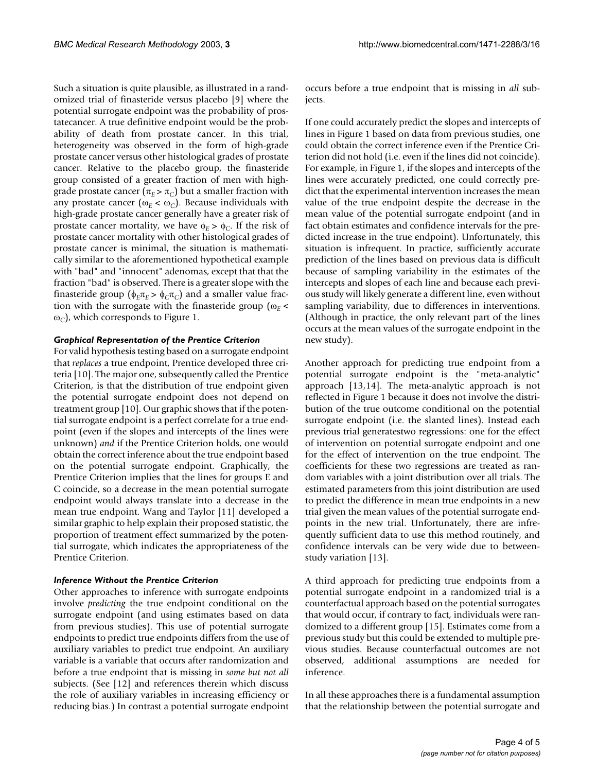Such a situation is quite plausible, as illustrated in a randomized trial of finasteride versus placebo [9] where the potential surrogate endpoint was the probability of prostatecancer. A true definitive endpoint would be the probability of death from prostate cancer. In this trial, heterogeneity was observed in the form of high-grade prostate cancer versus other histological grades of prostate cancer. Relative to the placebo group, the finasteride group consisted of a greater fraction of men with highgrade prostate cancer ( $\pi_E > \pi_C$ ) but a smaller fraction with any prostate cancer ( $\omega_E < \omega_C$ ). Because individuals with high-grade prostate cancer generally have a greater risk of prostate cancer mortality, we have  $\phi_E > \phi_C$ . If the risk of prostate cancer mortality with other histological grades of prostate cancer is minimal, the situation is mathematically similar to the aforementioned hypothetical example with "bad" and "innocent" adenomas, except that that the fraction "bad" is observed. There is a greater slope with the finasteride group ( $\phi_E \pi_E > \phi_C \pi_C$ ) and a smaller value fraction with the surrogate with the finasteride group ( $\omega_E$  <  $ω<sub>C</sub>$ ), which corresponds to Figure 1.

#### *Graphical Representation of the Prentice Criterion*

For valid hypothesis testing based on a surrogate endpoint that *replaces* a true endpoint, Prentice developed three criteria [10]. The major one, subsequently called the Prentice Criterion, is that the distribution of true endpoint given the potential surrogate endpoint does not depend on treatment group [10]. Our graphic shows that if the potential surrogate endpoint is a perfect correlate for a true endpoint (even if the slopes and intercepts of the lines were unknown) *and* if the Prentice Criterion holds, one would obtain the correct inference about the true endpoint based on the potential surrogate endpoint. Graphically, the Prentice Criterion implies that the lines for groups E and C coincide, so a decrease in the mean potential surrogate endpoint would always translate into a decrease in the mean true endpoint. Wang and Taylor [11] developed a similar graphic to help explain their proposed statistic, the proportion of treatment effect summarized by the potential surrogate, which indicates the appropriateness of the Prentice Criterion.

#### *Inference Without the Prentice Criterion*

Other approaches to inference with surrogate endpoints involve *predicting* the true endpoint conditional on the surrogate endpoint (and using estimates based on data from previous studies). This use of potential surrogate endpoints to predict true endpoints differs from the use of auxiliary variables to predict true endpoint. An auxiliary variable is a variable that occurs after randomization and before a true endpoint that is missing in *some but not all* subjects. (See [12] and references therein which discuss the role of auxiliary variables in increasing efficiency or reducing bias.) In contrast a potential surrogate endpoint

occurs before a true endpoint that is missing in *all* subjects.

If one could accurately predict the slopes and intercepts of lines in Figure 1 based on data from previous studies, one could obtain the correct inference even if the Prentice Criterion did not hold (i.e. even if the lines did not coincide). For example, in Figure 1, if the slopes and intercepts of the lines were accurately predicted, one could correctly predict that the experimental intervention increases the mean value of the true endpoint despite the decrease in the mean value of the potential surrogate endpoint (and in fact obtain estimates and confidence intervals for the predicted increase in the true endpoint). Unfortunately, this situation is infrequent. In practice, sufficiently accurate prediction of the lines based on previous data is difficult because of sampling variability in the estimates of the intercepts and slopes of each line and because each previous study will likely generate a different line, even without sampling variability, due to differences in interventions. (Although in practice, the only relevant part of the lines occurs at the mean values of the surrogate endpoint in the new study).

Another approach for predicting true endpoint from a potential surrogate endpoint is the "meta-analytic" approach [13,14]. The meta-analytic approach is not reflected in Figure 1 because it does not involve the distribution of the true outcome conditional on the potential surrogate endpoint (i.e. the slanted lines). Instead each previous trial generatestwo regressions: one for the effect of intervention on potential surrogate endpoint and one for the effect of intervention on the true endpoint. The coefficients for these two regressions are treated as random variables with a joint distribution over all trials. The estimated parameters from this joint distribution are used to predict the difference in mean true endpoints in a new trial given the mean values of the potential surrogate endpoints in the new trial. Unfortunately, there are infrequently sufficient data to use this method routinely, and confidence intervals can be very wide due to betweenstudy variation [13].

A third approach for predicting true endpoints from a potential surrogate endpoint in a randomized trial is a counterfactual approach based on the potential surrogates that would occur, if contrary to fact, individuals were randomized to a different group [15]. Estimates come from a previous study but this could be extended to multiple previous studies. Because counterfactual outcomes are not observed, additional assumptions are needed for inference.

In all these approaches there is a fundamental assumption that the relationship between the potential surrogate and